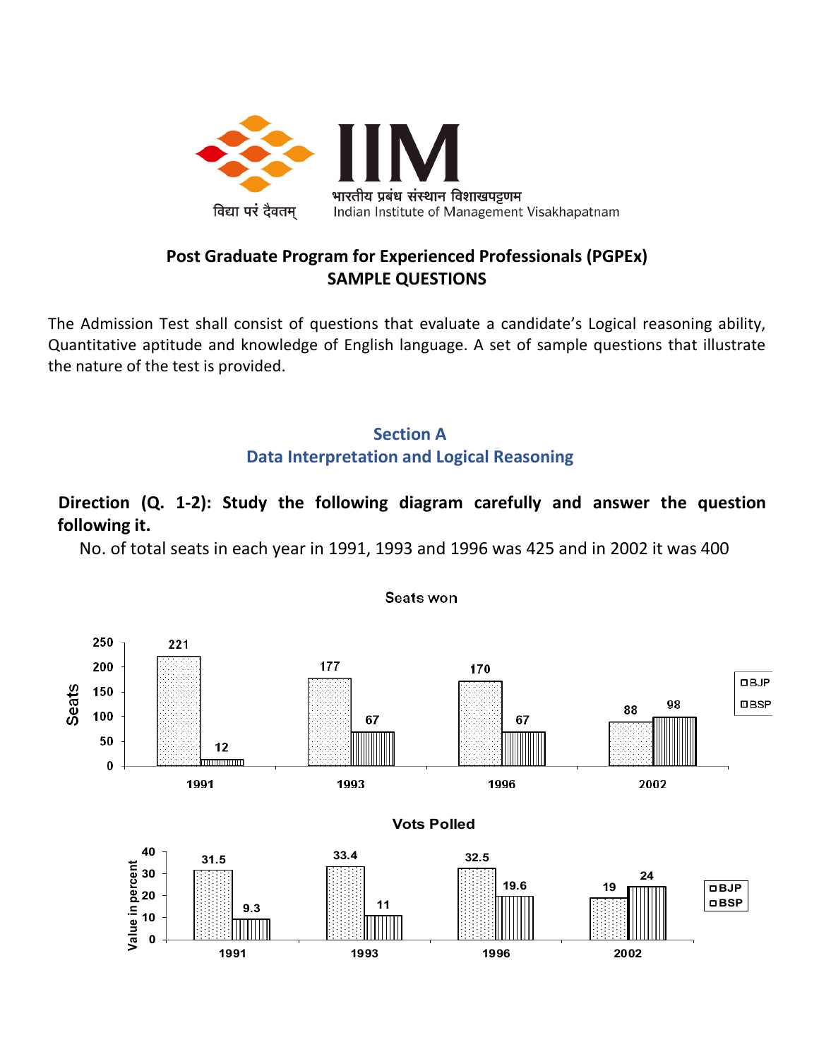

### **Post Graduate Program for Experienced Professionals (PGPEx) SAMPLE QUESTIONS**

The Admission Test shall consist of questions that evaluate a candidate's Logical reasoning ability, Quantitative aptitude and knowledge of English language. A set of sample questions that illustrate the nature of the test is provided.

## **Section A Data Interpretation and Logical Reasoning**

## **Direction (Q. 1-2): Study the following diagram carefully and answer the question following it.**

No. of total seats in each year in 1991, 1993 and 1996 was 425 and in 2002 it was 400

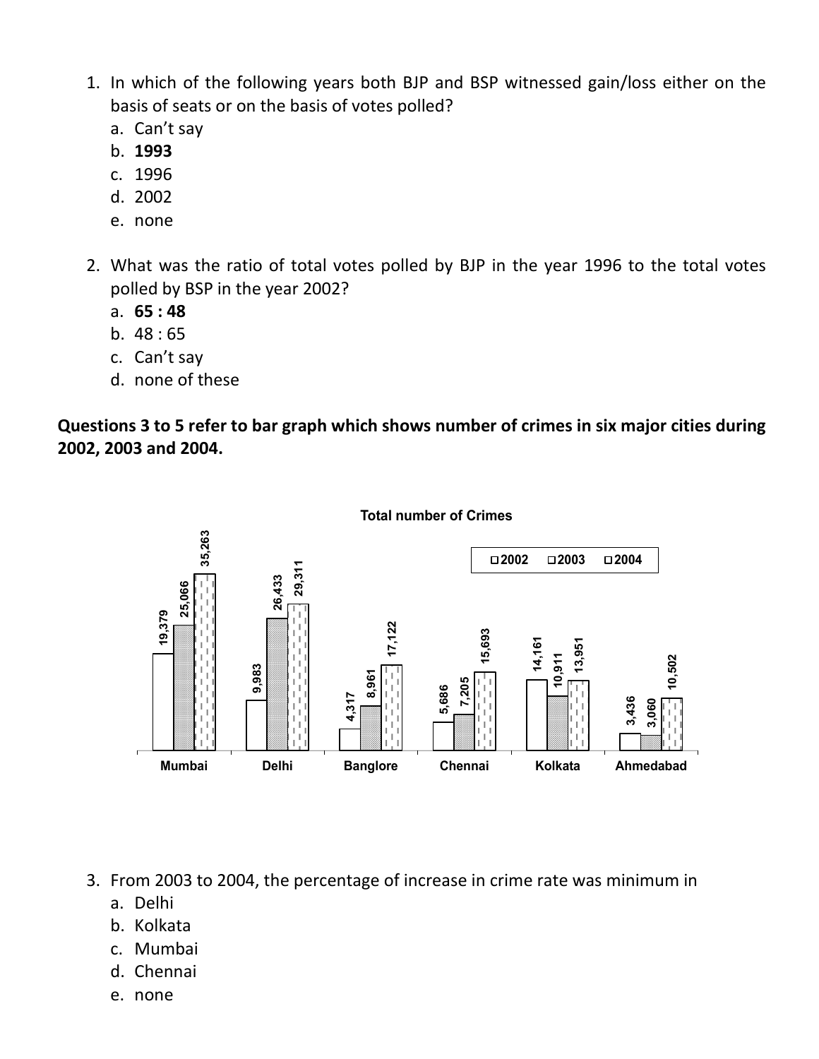- 1. In which of the following years both BJP and BSP witnessed gain/loss either on the basis of seats or on the basis of votes polled?
	- a. Can't say
	- b. **1993**
	- c. 1996
	- d. 2002
	- e. none
- 2. What was the ratio of total votes polled by BJP in the year 1996 to the total votes polled by BSP in the year 2002?
	- a. **65 : 48**
	- b. 48 : 65
	- c. Can't say
	- d. none of these

**Questions 3 to 5 refer to bar graph which shows number of crimes in six major cities during 2002, 2003 and 2004.**



**Total number of Crimes**

3. From 2003 to 2004, the percentage of increase in crime rate was minimum in

- a. Delhi
- b. Kolkata
- c. Mumbai
- d. Chennai
- e. none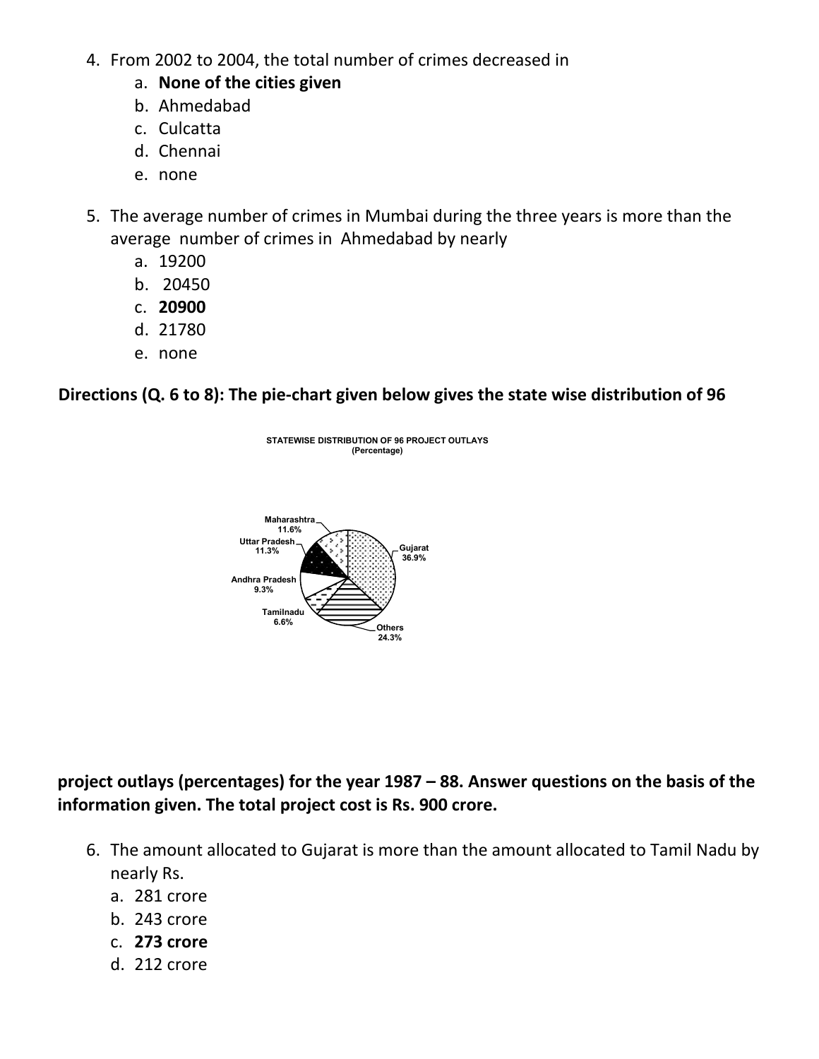- 4. From 2002 to 2004, the total number of crimes decreased in
	- a. **None of the cities given**
	- b. Ahmedabad
	- c. Culcatta
	- d. Chennai
	- e. none
- 5. The average number of crimes in Mumbai during the three years is more than the average number of crimes in Ahmedabad by nearly
	- a. 19200
	- b. 20450
	- c. **20900**
	- d. 21780
	- e. none

**Directions (Q. 6 to 8): The pie-chart given below gives the state wise distribution of 96** 



## **project outlays (percentages) for the year 1987 – 88. Answer questions on the basis of the information given. The total project cost is Rs. 900 crore.**

- 6. The amount allocated to Gujarat is more than the amount allocated to Tamil Nadu by nearly Rs.
	- a. 281 crore
	- b. 243 crore
	- c. **273 crore**
	- d. 212 crore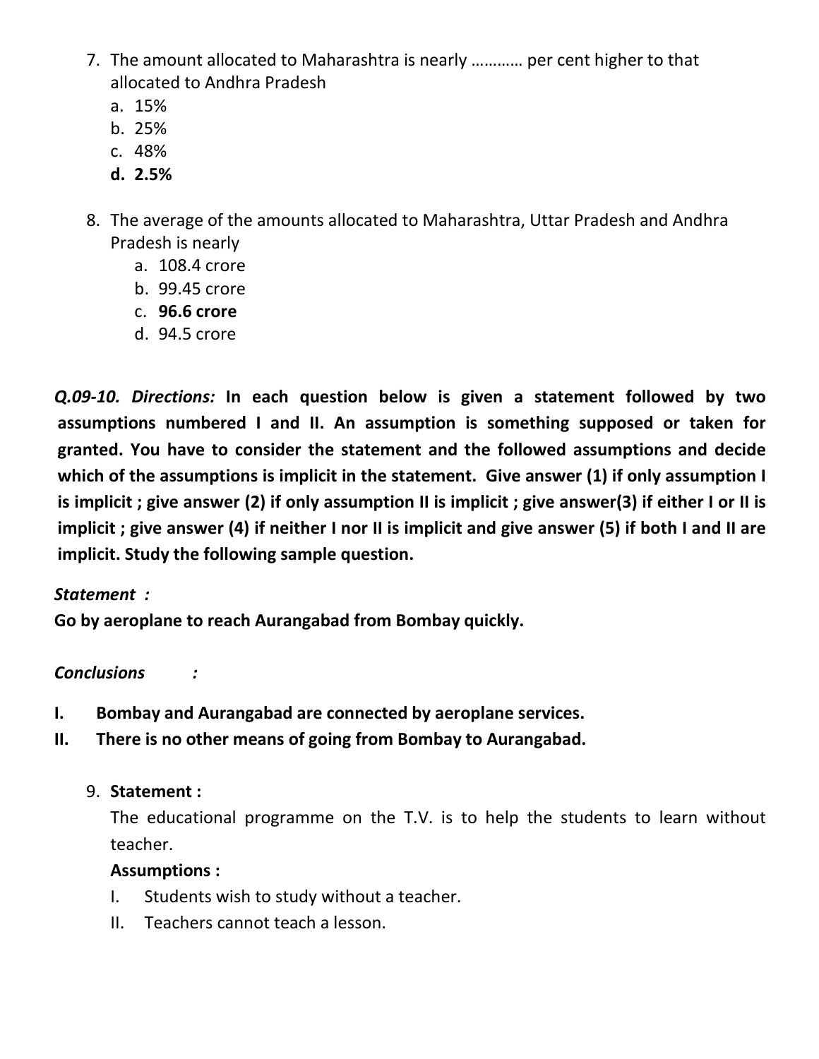- 7. The amount allocated to Maharashtra is nearly ………… per cent higher to that allocated to Andhra Pradesh
	- a. 15%
	- b. 25%
	- c. 48%
	- **d. 2.5%**
- 8. The average of the amounts allocated to Maharashtra, Uttar Pradesh and Andhra Pradesh is nearly
	- a. 108.4 crore
	- b. 99.45 crore
	- c. **96.6 crore**
	- d. 94.5 crore

*Q.09-10. Directions:* **In each question below is given a statement followed by two assumptions numbered I and II. An assumption is something supposed or taken for granted. You have to consider the statement and the followed assumptions and decide which of the assumptions is implicit in the statement. Give answer (1) if only assumption I is implicit ; give answer (2) if only assumption II is implicit ; give answer(3) if either I or II is implicit ; give answer (4) if neither I nor II is implicit and give answer (5) if both I and II are implicit. Study the following sample question.**

#### *Statement :*

**Go by aeroplane to reach Aurangabad from Bombay quickly.**

## *Conclusions :*

- **I. Bombay and Aurangabad are connected by aeroplane services.**
- **II. There is no other means of going from Bombay to Aurangabad.**

## 9. **Statement :**

The educational programme on the T.V. is to help the students to learn without teacher.

#### **Assumptions :**

- I. Students wish to study without a teacher.
- II. Teachers cannot teach a lesson.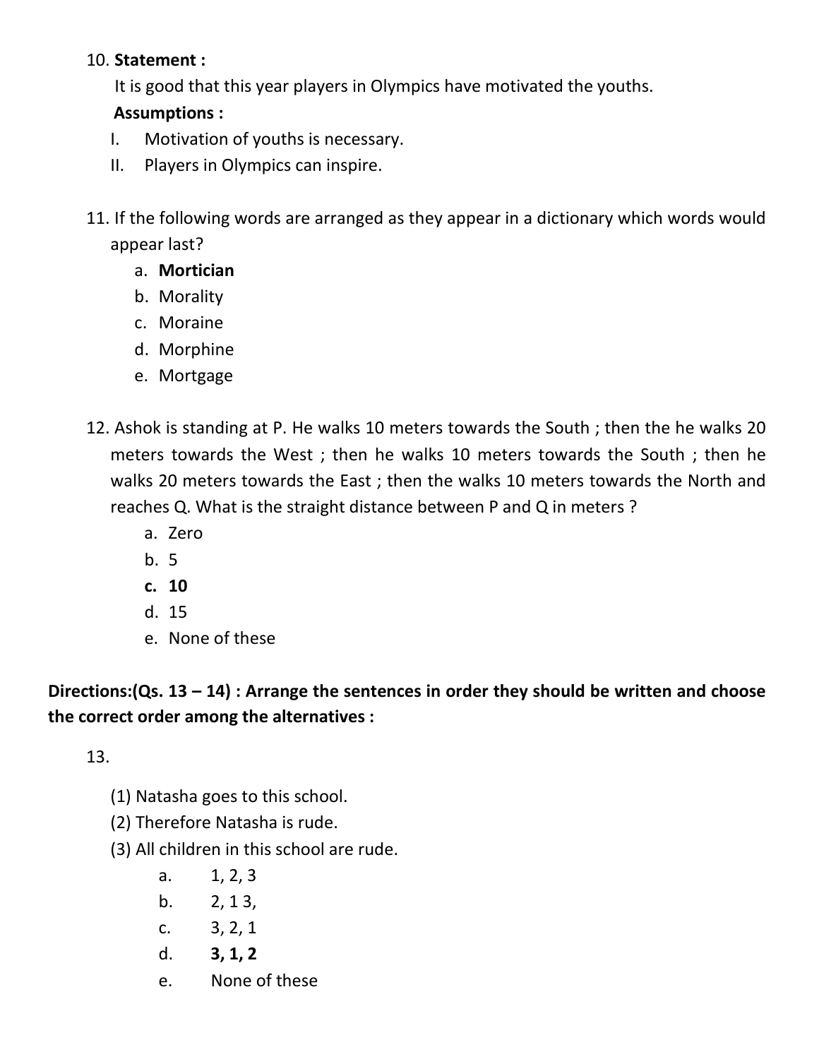### 10. **Statement :**

It is good that this year players in Olympics have motivated the youths.

## **Assumptions :**

- I. Motivation of youths is necessary.
- II. Players in Olympics can inspire.
- 11. If the following words are arranged as they appear in a dictionary which words would appear last?
	- a. **Mortician**
	- b. Morality
	- c. Moraine
	- d. Morphine
	- e. Mortgage
- 12. Ashok is standing at P. He walks 10 meters towards the South ; then the he walks 20 meters towards the West ; then he walks 10 meters towards the South ; then he walks 20 meters towards the East ; then the walks 10 meters towards the North and reaches Q. What is the straight distance between P and Q in meters ?
	- a. Zero
	- b. 5
	- **c. 10**
	- d. 15
	- e. None of these

**Directions:(Qs. 13 – 14) : Arrange the sentences in order they should be written and choose the correct order among the alternatives :**

13.

- (1) Natasha goes to this school.
- (2) Therefore Natasha is rude.
- (3) All children in this school are rude.
	- a. 1, 2, 3
	- b.  $2, 13,$
	- c. 3, 2, 1
	- d. **3, 1, 2**
	- e. None of these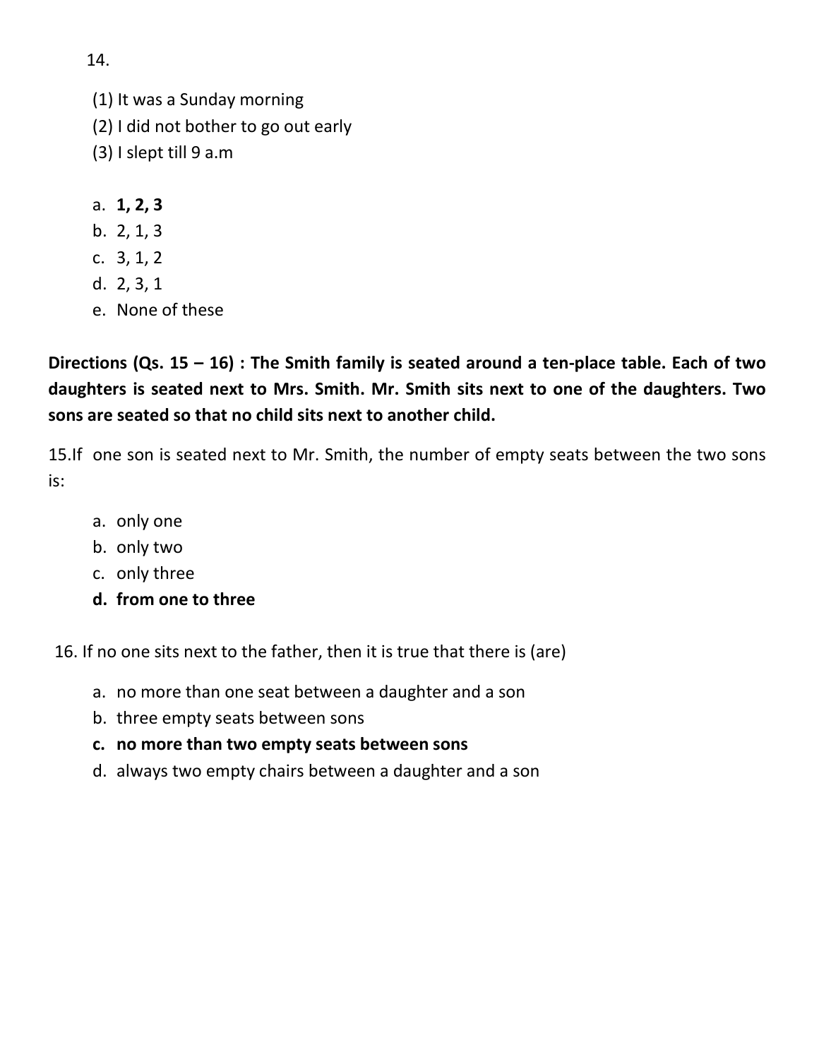(1) It was a Sunday morning (2) I did not bother to go out early (3) I slept till 9 a.m

- a. **1, 2, 3**
- b. 2, 1, 3
- c. 3, 1, 2
- d. 2, 3, 1
- e. None of these

**Directions (Qs. 15 – 16) : The Smith family is seated around a ten-place table. Each of two daughters is seated next to Mrs. Smith. Mr. Smith sits next to one of the daughters. Two sons are seated so that no child sits next to another child.**

15.If one son is seated next to Mr. Smith, the number of empty seats between the two sons is:

- a. only one
- b. only two
- c. only three
- **d. from one to three**

16. If no one sits next to the father, then it is true that there is (are)

- a. no more than one seat between a daughter and a son
- b. three empty seats between sons
- **c. no more than two empty seats between sons**
- d. always two empty chairs between a daughter and a son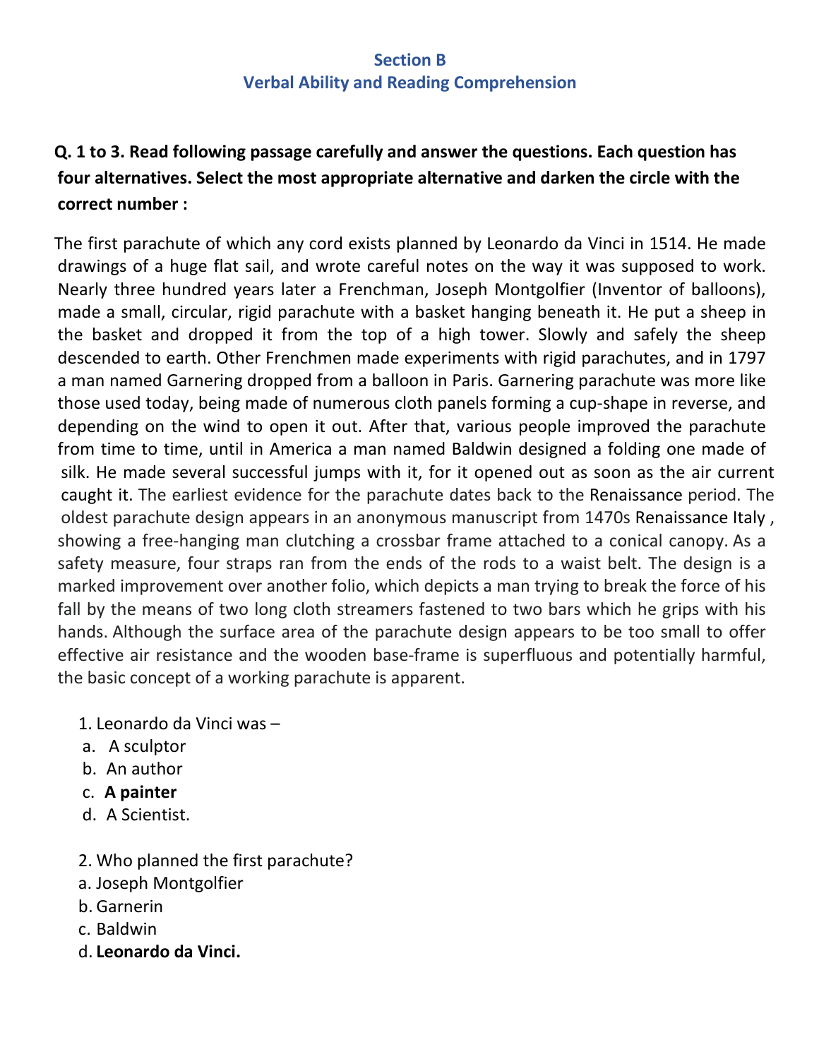#### **Section B Verbal Ability and Reading Comprehension**

# **Q. 1 to 3. Read following passage carefully and answer the questions. Each question has four alternatives. Select the most appropriate alternative and darken the circle with the correct number :**

The first parachute of which any cord exists planned by Leonardo da Vinci in 1514. He made drawings of a huge flat sail, and wrote careful notes on the way it was supposed to work. Nearly three hundred years later a Frenchman, Joseph Montgolfier (Inventor of balloons), made a small, circular, rigid parachute with a basket hanging beneath it. He put a sheep in the basket and dropped it from the top of a high tower. Slowly and safely the sheep descended to earth. Other Frenchmen made experiments with rigid parachutes, and in 1797 a man named Garnering dropped from a balloon in Paris. Garnering parachute was more like those used today, being made of numerous cloth panels forming a cup-shape in reverse, and depending on the wind to open it out. After that, various people improved the parachute from time to time, until in America a man named Baldwin designed a folding one made of silk. He made several successful jumps with it, for it opened out as soon as the air current caught it. The earliest evidence for the parachute dates back to the [Renaissance](https://en.wikipedia.org/wiki/Renaissance) period. The oldest parachute design appears in an anonymous manuscript from 1470s [Renaissance Italy](https://en.wikipedia.org/wiki/Renaissance_Italy) , showing a free-hanging man clutching a crossbar frame attached to a conical canopy. As a safety measure, four straps ran from the ends of the rods to a waist belt. The design is a marked improvement over another folio, which depicts a man trying to break the force of his fall by the means of two long cloth streamers fastened to two bars which he grips with his hands. Although the surface area of the parachute design appears to be too small to offer effective air resistance and the wooden base-frame is superfluous and potentially harmful, the basic concept of a working parachute is apparent.

- 1. Leonardo da Vinci was –
- a. A sculptor
- b. An author
- c. **A painter**
- d. A Scientist.
- 2. Who planned the first parachute?
- a. Joseph Montgolfier
- b. Garnerin
- c. Baldwin
- d. **Leonardo da Vinci.**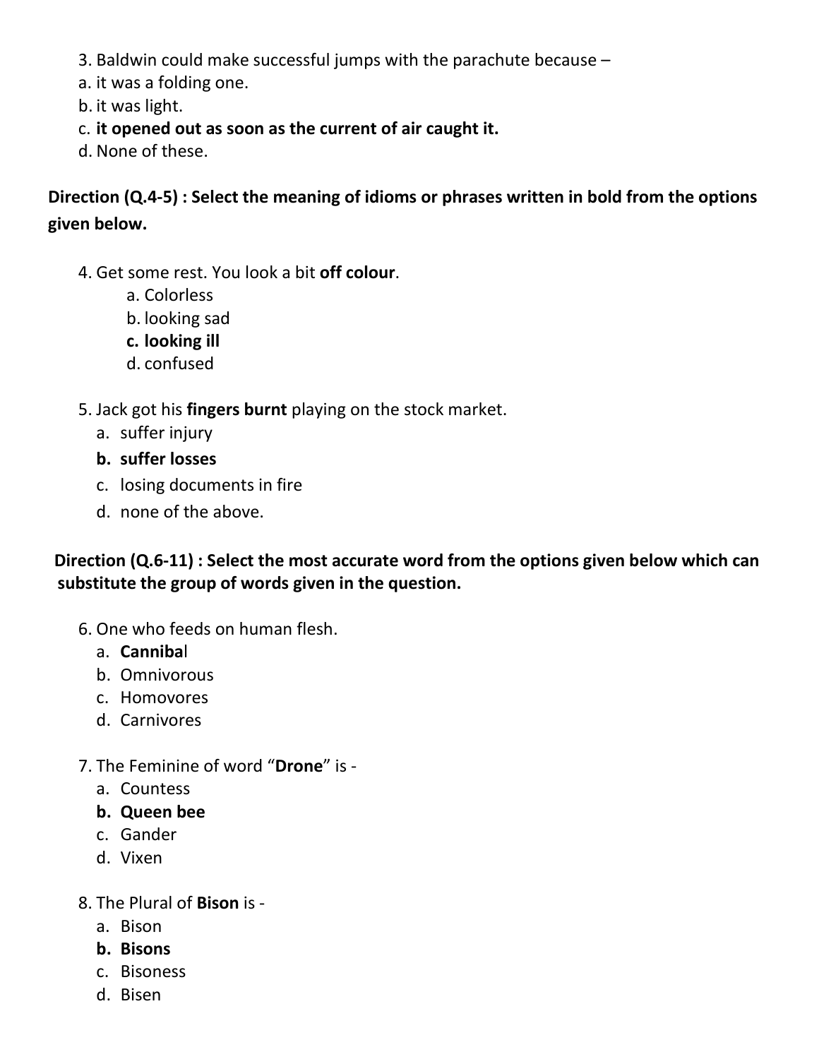- 3. Baldwin could make successful jumps with the parachute because –
- a. it was a folding one.
- b. it was light.
- c. **it opened out as soon as the current of air caught it.**
- d. None of these.

**Direction (Q.4-5) : Select the meaning of idioms or phrases written in bold from the options given below.** 

- 4. Get some rest. You look a bit **off colour**.
	- a. Colorless
	- b. looking sad
	- **c. looking ill**
	- d. confused
- 5. Jack got his **fingers burnt** playing on the stock market.
	- a. suffer injury
	- **b. suffer losses**
	- c. losing documents in fire
	- d. none of the above.

**Direction (Q.6-11) : Select the most accurate word from the options given below which can substitute the group of words given in the question.**

- 6. One who feeds on human flesh.
	- a. **Canniba**l
	- b. Omnivorous
	- c. Homovores
	- d. Carnivores
- 7. The Feminine of word "**Drone**" is
	- a. Countess
	- **b. Queen bee**
	- c. Gander
	- d. Vixen
- 8. The Plural of **Bison** is
	- a. Bison
	- **b. Bisons**
	- c. Bisoness
	- d. Bisen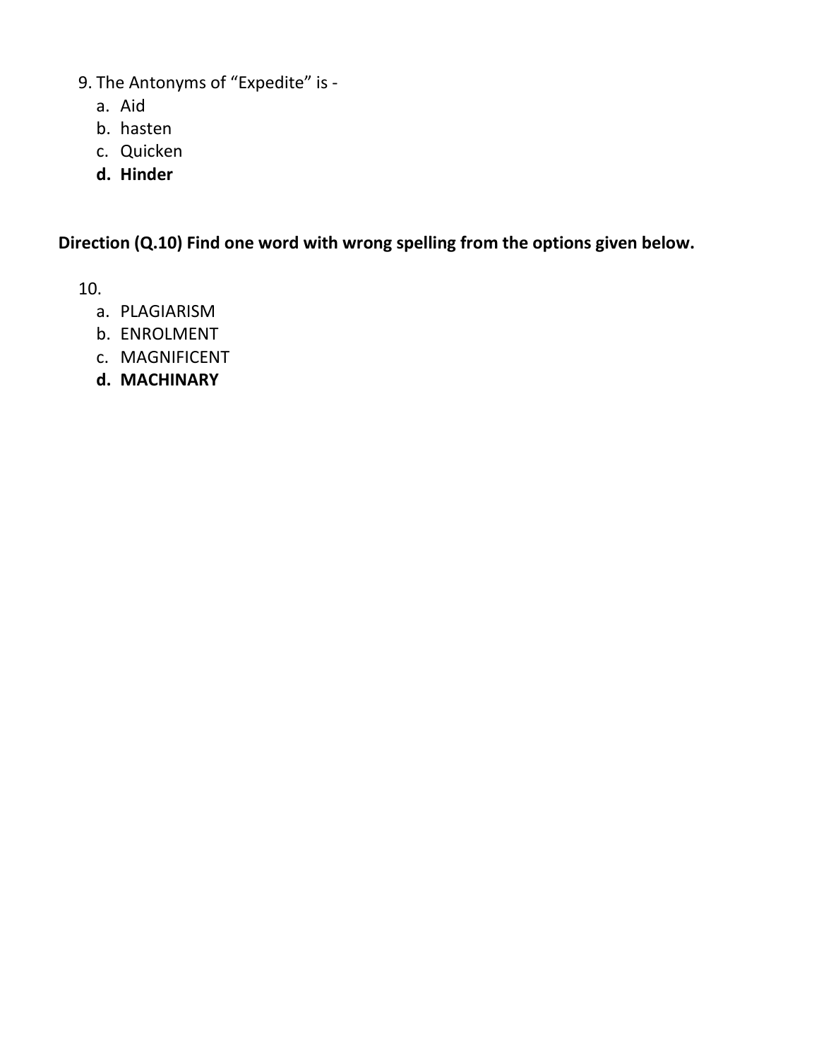- 9. The Antonyms of "Expedite" is
	- a. Aid
	- b. hasten
	- c. Quicken
	- **d. Hinder**

**Direction (Q.10) Find one word with wrong spelling from the options given below.** 

10.

- a. PLAGIARISM
- b. ENROLMENT
- c. MAGNIFICENT
- **d. MACHINARY**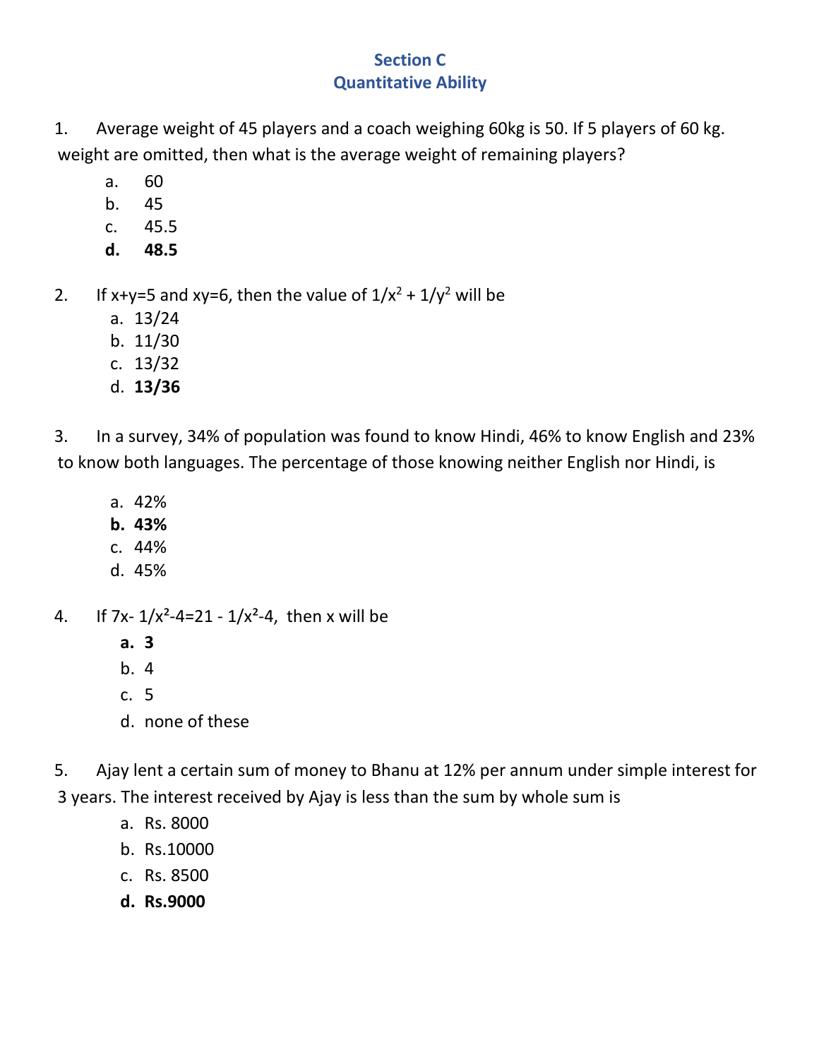## **Section C Quantitative Ability**

1. Average weight of 45 players and a coach weighing 60kg is 50. If 5 players of 60 kg. weight are omitted, then what is the average weight of remaining players?

- a. 60
- b. 45
- c. 45.5
- **d. 48.5**
- 2. If x+y=5 and xy=6, then the value of  $1/x^2 + 1/y^2$  will be
	- a. 13/24
	- b. 11/30
	- c. 13/32
	- d. **13/36**

3. In a survey, 34% of population was found to know Hindi, 46% to know English and 23% to know both languages. The percentage of those knowing neither English nor Hindi, is

- a. 42%
- **b. 43%**
- c. 44%
- d. 45%
- 4. If 7x-  $1/x^2-4=21-1/x^2-4$ , then x will be
	- **a. 3**
	- b. 4
	- c. 5
	- d. none of these

5. Ajay lent a certain sum of money to Bhanu at 12% per annum under simple interest for 3 years. The interest received by Ajay is less than the sum by whole sum is

- a. Rs. 8000
- b. Rs.10000
- c. Rs. 8500
- **d. Rs.9000**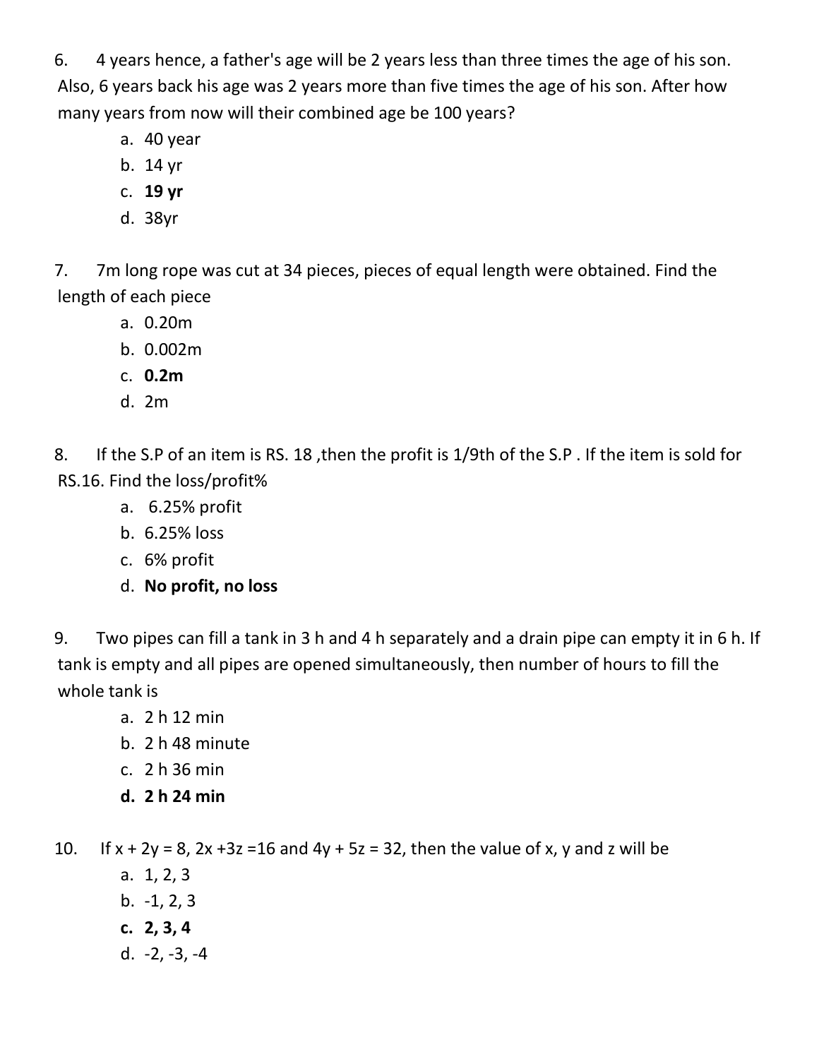6. 4 years hence, a father's age will be 2 years less than three times the age of his son. Also, 6 years back his age was 2 years more than five times the age of his son. After how many years from now will their combined age be 100 years?

- a. 40 year
- b. 14 yr
- c. **19 yr**
- d. 38yr

7. 7m long rope was cut at 34 pieces, pieces of equal length were obtained. Find the length of each piece

- a. 0.20m
- b. 0.002m
- c. **0.2m**
- d. 2m

8. If the S.P of an item is RS. 18, then the profit is 1/9th of the S.P. If the item is sold for RS.16. Find the loss/profit%

- a. 6.25% profit
- b. 6.25% loss
- c. 6% profit
- d. **No profit, no loss**

9. Two pipes can fill a tank in 3 h and 4 h separately and a drain pipe can empty it in 6 h. If tank is empty and all pipes are opened simultaneously, then number of hours to fill the whole tank is

- a. 2 h 12 min
- b. 2 h 48 minute
- c. 2 h 36 min
- **d. 2 h 24 min**

10. If  $x + 2y = 8$ ,  $2x + 3z = 16$  and  $4y + 5z = 32$ , then the value of x, y and z will be

- a. 1, 2, 3
- b. -1, 2, 3
- **c. 2, 3, 4**
- d. -2, -3, -4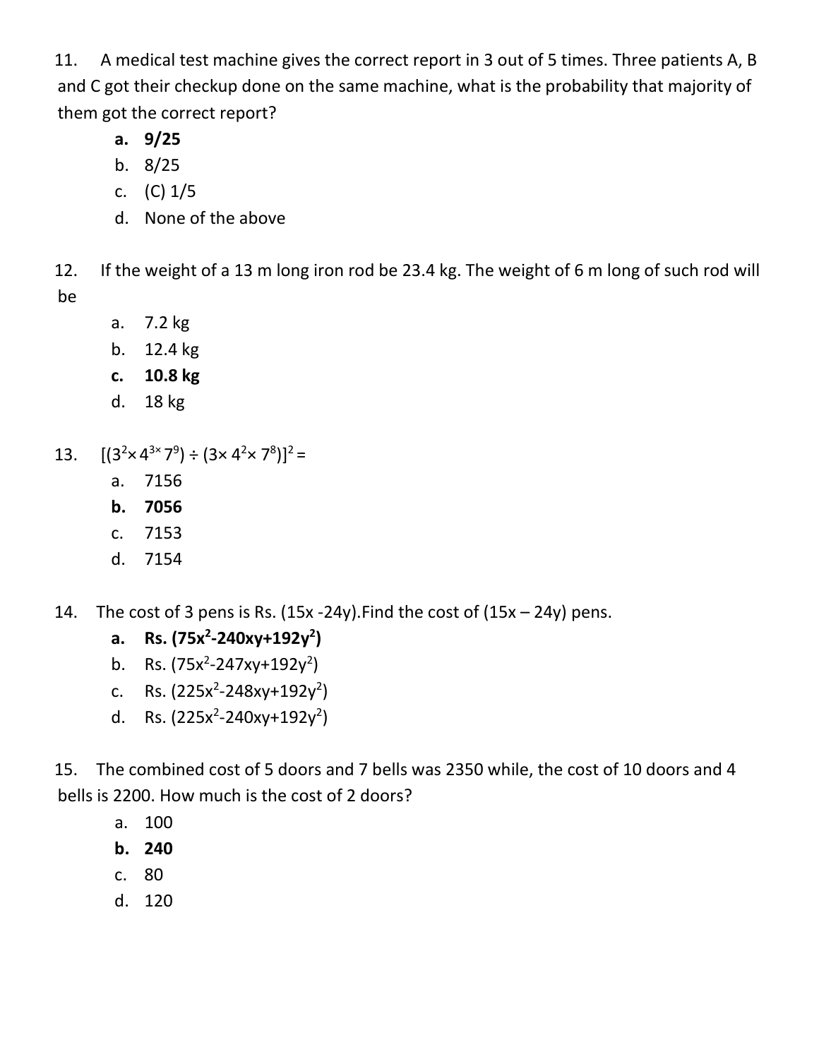11. A medical test machine gives the correct report in 3 out of 5 times. Three patients A, B and C got their checkup done on the same machine, what is the probability that majority of them got the correct report?

- **a. 9/25**
- b. 8/25
- c. (C) 1/5
- d. None of the above

12. If the weight of a 13 m long iron rod be 23.4 kg. The weight of 6 m long of such rod will be

- a. 7.2 kg
- b. 12.4 kg
- **c. 10.8 kg**
- d. 18 kg
- 13.  $[(3^2 \times 4^{3 \times 7^9}) \div (3 \times 4^2 \times 7^8)]^2$  =
	- a. 7156
	- **b. 7056**
	- c. 7153
	- d. 7154
- 14. The cost of 3 pens is Rs.  $(15x 24y)$ . Find the cost of  $(15x 24y)$  pens.
	- **a. Rs. (75x2 -240xy+192y2 )**
	- b. Rs.  $(75x^2 247xy + 192y^2)$
	- c. Rs.  $(225x^2 248xy + 192y^2)$
	- d. Rs.  $(225x^2 240xy + 192y^2)$

15. The combined cost of 5 doors and 7 bells was 2350 while, the cost of 10 doors and 4 bells is 2200. How much is the cost of 2 doors?

- a. 100
- **b. 240**
- c. 80
- d. 120